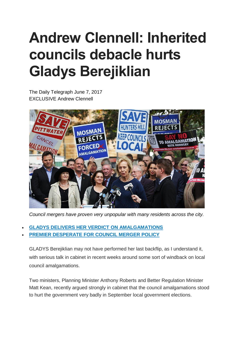## **Andrew Clennell: Inherited councils debacle hurts Gladys Berejiklian**

The Daily Telegraph June 7, 2017 **EXCLUSIVE Andrew Clennell** 



*Council mergers have proven very unpopular with many residents across the city.*

- **GLADYS DELIVERS HER VERDICT ON [AMALGAMATIONS](http://www.dailytelegraph.com.au/news/nsw/council-mergers-premier-gladys-berejiklian-delivers-verdict-on-amalgamations/news-story/027c68c0e3ab4c3e5be798c362a8aa18)**
- **PREMIER [DESPERATE](http://www.dailytelegraph.com.au/news/nsw/nsw-council-mergers-berejiklian-desperate-for-policy-before-byelections/news-story/be6ed3c683957f103ec9ffb96b5a575f) FOR COUNCIL MERGER POLICY**

GLADYS Berejiklian may not have performed her last backflip, as I understand it, with serious talk in cabinet in recent weeks around some sort of windback on local council amalgamations.

Two ministers, Planning Minister Anthony Roberts and Better Regulation Minister Matt Kean, recently argued strongly in cabinet that the council amalgamations stood to hurt the government very badly in September local government elections.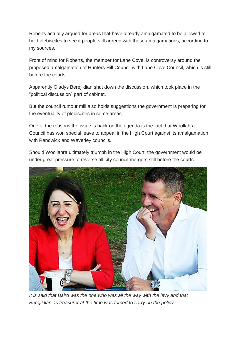Roberts actually argued for areas that have already amalgamated to be allowed to hold plebiscites to see if people still agreed with those amalgamations, according to my sources.

Front of mind for Roberts, the member for Lane Cove, is controversy around the proposed amalgamation of Hunters Hill Council with Lane Cove Council, which is still before the courts.

Apparently Gladys Berejiklian shut down the discussion, which took place in the "political discussion" part of cabinet.

But the council rumour mill also holds suggestions the government is preparing for the eventuality of plebiscites in some areas.

One of the reasons the issue is back on the agenda is the fact that Woollahra Council has won special leave to appeal in the High Court against its amalgamation with Randwick and Waverley councils.

Should Woollahra ultimately triumph in the High Court, the government would be under great pressure to reverse all city council mergers still before the courts.



*It is said that Baird was the one who was all the way with the levy and that Berejiklian as treasurer at the time was forced to carry on the policy.*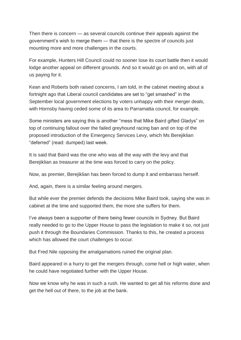Then there is concern — as several councils continue their appeals against the government's wish to merge them — that there is the spectre of councils just mounting more and more challenges in the courts.

For example, Hunters Hill Council could no sooner lose its court battle then it would lodge another appeal on different grounds. And so it would go on and on, with all of us paying for it.

Kean and Roberts both raised concerns, I am told, in the cabinet meeting about a fortnight ago that Liberal council candidates are set to "get smashed" in the September local government elections by voters unhappy with their merger deals, with Hornsby having ceded some of its area to Parramatta council, for example.

Some ministers are saying this is another "mess that Mike Baird gifted Gladys" on top of continuing fallout over the failed greyhound racing ban and on top of the proposed introduction of the Emergency Services Levy, which Ms Berejiklian "deferred" (read: dumped) last week.

It is said that Baird was the one who was all the way with the levy and that Berejiklian as treasurer at the time was forced to carry on the policy.

Now, as premier, Berejiklian has been forced to dump it and embarrass herself.

And, again, there is a similar feeling around mergers.

But while ever the premier defends the decisions Mike Baird took, saying she was in cabinet at the time and supported them, the more she suffers for them.

I've always been a supporter of there being fewer councils in Sydney. But Baird really needed to go to the Upper House to pass the legislation to make it so, not just push it through the Boundaries Commission. Thanks to this, he created a process which has allowed the court challenges to occur.

But Fred Nile opposing the amalgamations ruined the original plan.

Baird appeared in a hurry to get the mergers through, come hell or high water, when he could have negotiated further with the Upper House.

Now we know why he was in such a rush. He wanted to get all his reforms done and get the hell out of there, to the job at the bank.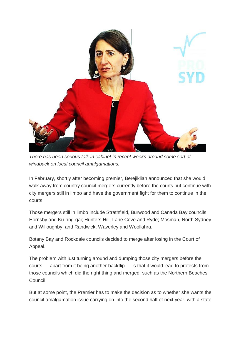

*There has been serious talk in cabinet in recent weeks around some sort of windback on local council amalgamations.*

In February, shortly after becoming premier, Berejiklian announced that she would walk away from country council mergers currently before the courts but continue with city mergers still in limbo and have the government fight for them to continue in the courts.

Those mergers still in limbo include Strathfield, Burwood and Canada Bay councils; Hornsby and Ku-ring-gai; Hunters Hill, Lane Cove and Ryde; Mosman, North Sydney and Willoughby, and Randwick, Waverley and Woollahra.

Botany Bay and Rockdale councils decided to merge after losing in the Court of Appeal.

The problem with just turning around and dumping those city mergers before the courts — apart from it being another backflip — is that it would lead to protests from those councils which did the right thing and merged, such as the Northern Beaches Council.

But at some point, the Premier has to make the decision as to whether she wants the council amalgamation issue carrying on into the second half of next year, with a state